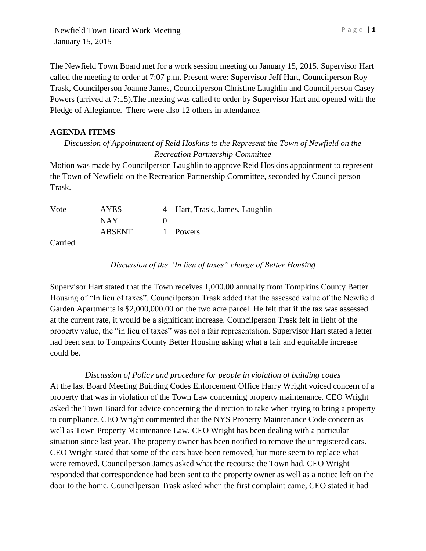Newfield Town Board Work Meeting Page | 1 January 15, 2015

The Newfield Town Board met for a work session meeting on January 15, 2015. Supervisor Hart called the meeting to order at 7:07 p.m. Present were: Supervisor Jeff Hart, Councilperson Roy Trask, Councilperson Joanne James, Councilperson Christine Laughlin and Councilperson Casey Powers (arrived at 7:15).The meeting was called to order by Supervisor Hart and opened with the Pledge of Allegiance. There were also 12 others in attendance.

## **AGENDA ITEMS**

*Discussion of Appointment of Reid Hoskins to the Represent the Town of Newfield on the Recreation Partnership Committee*

Motion was made by Councilperson Laughlin to approve Reid Hoskins appointment to represent the Town of Newfield on the Recreation Partnership Committee, seconded by Councilperson Trask.

| Vote   | <b>AYES</b>   | 4 Hart, Trask, James, Laughlin |
|--------|---------------|--------------------------------|
|        | NAY           |                                |
|        | <b>ABSENT</b> | 1 Powers                       |
| $\sim$ |               |                                |

Carried

*Discussion of the "In lieu of taxes" charge of Better Housing*

Supervisor Hart stated that the Town receives 1,000.00 annually from Tompkins County Better Housing of "In lieu of taxes". Councilperson Trask added that the assessed value of the Newfield Garden Apartments is \$2,000,000.00 on the two acre parcel. He felt that if the tax was assessed at the current rate, it would be a significant increase. Councilperson Trask felt in light of the property value, the "in lieu of taxes" was not a fair representation. Supervisor Hart stated a letter had been sent to Tompkins County Better Housing asking what a fair and equitable increase could be.

*Discussion of Policy and procedure for people in violation of building codes* At the last Board Meeting Building Codes Enforcement Office Harry Wright voiced concern of a property that was in violation of the Town Law concerning property maintenance. CEO Wright asked the Town Board for advice concerning the direction to take when trying to bring a property to compliance. CEO Wright commented that the NYS Property Maintenance Code concern as well as Town Property Maintenance Law. CEO Wright has been dealing with a particular situation since last year. The property owner has been notified to remove the unregistered cars. CEO Wright stated that some of the cars have been removed, but more seem to replace what were removed. Councilperson James asked what the recourse the Town had. CEO Wright responded that correspondence had been sent to the property owner as well as a notice left on the door to the home. Councilperson Trask asked when the first complaint came, CEO stated it had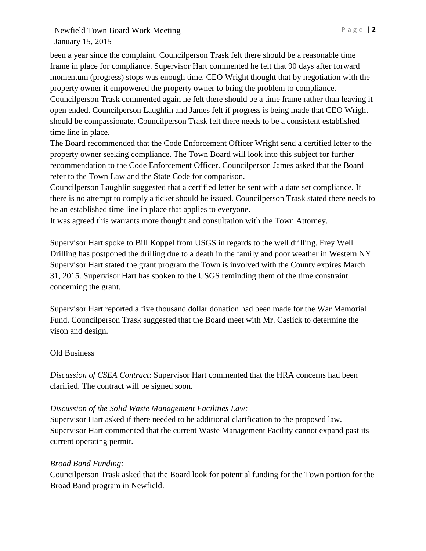Newfield Town Board Work Meeting Page | 2 January 15, 2015

been a year since the complaint. Councilperson Trask felt there should be a reasonable time frame in place for compliance. Supervisor Hart commented he felt that 90 days after forward momentum (progress) stops was enough time. CEO Wright thought that by negotiation with the property owner it empowered the property owner to bring the problem to compliance. Councilperson Trask commented again he felt there should be a time frame rather than leaving it open ended. Councilperson Laughlin and James felt if progress is being made that CEO Wright should be compassionate. Councilperson Trask felt there needs to be a consistent established time line in place.

The Board recommended that the Code Enforcement Officer Wright send a certified letter to the property owner seeking compliance. The Town Board will look into this subject for further recommendation to the Code Enforcement Officer. Councilperson James asked that the Board refer to the Town Law and the State Code for comparison.

Councilperson Laughlin suggested that a certified letter be sent with a date set compliance. If there is no attempt to comply a ticket should be issued. Councilperson Trask stated there needs to be an established time line in place that applies to everyone.

It was agreed this warrants more thought and consultation with the Town Attorney.

Supervisor Hart spoke to Bill Koppel from USGS in regards to the well drilling. Frey Well Drilling has postponed the drilling due to a death in the family and poor weather in Western NY. Supervisor Hart stated the grant program the Town is involved with the County expires March 31, 2015. Supervisor Hart has spoken to the USGS reminding them of the time constraint concerning the grant.

Supervisor Hart reported a five thousand dollar donation had been made for the War Memorial Fund. Councilperson Trask suggested that the Board meet with Mr. Caslick to determine the vison and design.

## Old Business

*Discussion of CSEA Contract*: Supervisor Hart commented that the HRA concerns had been clarified. The contract will be signed soon.

## *Discussion of the Solid Waste Management Facilities Law:*

Supervisor Hart asked if there needed to be additional clarification to the proposed law. Supervisor Hart commented that the current Waste Management Facility cannot expand past its current operating permit.

## *Broad Band Funding:*

Councilperson Trask asked that the Board look for potential funding for the Town portion for the Broad Band program in Newfield.